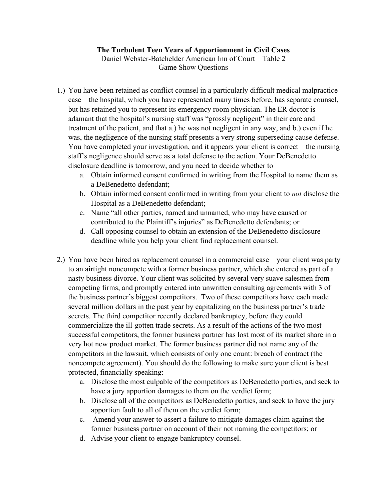## **The Turbulent Teen Years of Apportionment in Civil Cases**

Daniel Webster-Batchelder American Inn of Court—Table 2 Game Show Questions

- 1.) You have been retained as conflict counsel in a particularly difficult medical malpractice case—the hospital, which you have represented many times before, has separate counsel, but has retained you to represent its emergency room physician. The ER doctor is adamant that the hospital's nursing staff was "grossly negligent" in their care and treatment of the patient, and that a.) he was not negligent in any way, and b.) even if he was, the negligence of the nursing staff presents a very strong superseding cause defense. You have completed your investigation, and it appears your client is correct—the nursing staff's negligence should serve as a total defense to the action. Your DeBenedetto disclosure deadline is tomorrow, and you need to decide whether to
	- a. Obtain informed consent confirmed in writing from the Hospital to name them as a DeBenedetto defendant;
	- b. Obtain informed consent confirmed in writing from your client to *not* disclose the Hospital as a DeBenedetto defendant;
	- c. Name "all other parties, named and unnamed, who may have caused or contributed to the Plaintiff's injuries" as DeBenedetto defendants; or
	- d. Call opposing counsel to obtain an extension of the DeBenedetto disclosure deadline while you help your client find replacement counsel.
- 2.) You have been hired as replacement counsel in a commercial case—your client was party to an airtight noncompete with a former business partner, which she entered as part of a nasty business divorce. Your client was solicited by several very suave salesmen from competing firms, and promptly entered into unwritten consulting agreements with 3 of the business partner's biggest competitors. Two of these competitors have each made several million dollars in the past year by capitalizing on the business partner's trade secrets. The third competitor recently declared bankruptcy, before they could commercialize the ill-gotten trade secrets. As a result of the actions of the two most successful competitors, the former business partner has lost most of its market share in a very hot new product market. The former business partner did not name any of the competitors in the lawsuit, which consists of only one count: breach of contract (the noncompete agreement). You should do the following to make sure your client is best protected, financially speaking:
	- a. Disclose the most culpable of the competitors as DeBenedetto parties, and seek to have a jury apportion damages to them on the verdict form;
	- b. Disclose all of the competitors as DeBenedetto parties, and seek to have the jury apportion fault to all of them on the verdict form;
	- c. Amend your answer to assert a failure to mitigate damages claim against the former business partner on account of their not naming the competitors; or
	- d. Advise your client to engage bankruptcy counsel.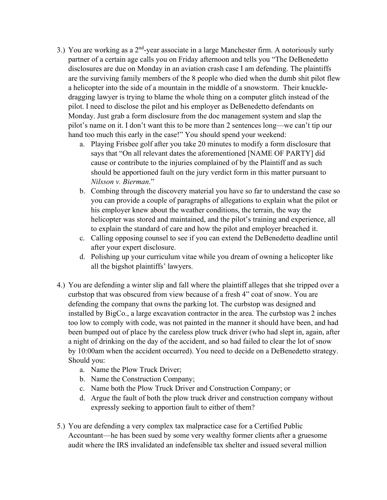- 3.) You are working as a  $2<sup>nd</sup>$ -year associate in a large Manchester firm. A notoriously surly partner of a certain age calls you on Friday afternoon and tells you "The DeBenedetto disclosures are due on Monday in an aviation crash case I am defending. The plaintiffs are the surviving family members of the 8 people who died when the dumb shit pilot flew a helicopter into the side of a mountain in the middle of a snowstorm. Their knuckledragging lawyer is trying to blame the whole thing on a computer glitch instead of the pilot. I need to disclose the pilot and his employer as DeBenedetto defendants on Monday. Just grab a form disclosure from the doc management system and slap the pilot's name on it. I don't want this to be more than 2 sentences long—we can't tip our hand too much this early in the case!" You should spend your weekend:
	- a. Playing Frisbee golf after you take 20 minutes to modify a form disclosure that says that "On all relevant dates the aforementioned [NAME OF PARTY] did cause or contribute to the injuries complained of by the Plaintiff and as such should be apportioned fault on the jury verdict form in this matter pursuant to *Nilsson v. Bierman*."
	- b. Combing through the discovery material you have so far to understand the case so you can provide a couple of paragraphs of allegations to explain what the pilot or his employer knew about the weather conditions, the terrain, the way the helicopter was stored and maintained, and the pilot's training and experience, all to explain the standard of care and how the pilot and employer breached it.
	- c. Calling opposing counsel to see if you can extend the DeBenedetto deadline until after your expert disclosure.
	- d. Polishing up your curriculum vitae while you dream of owning a helicopter like all the bigshot plaintiffs' lawyers.
- 4.) You are defending a winter slip and fall where the plaintiff alleges that she tripped over a curbstop that was obscured from view because of a fresh 4" coat of snow. You are defending the company that owns the parking lot. The curbstop was designed and installed by BigCo., a large excavation contractor in the area. The curbstop was 2 inches too low to comply with code, was not painted in the manner it should have been, and had been bumped out of place by the careless plow truck driver (who had slept in, again, after a night of drinking on the day of the accident, and so had failed to clear the lot of snow by 10:00am when the accident occurred). You need to decide on a DeBenedetto strategy. Should you:
	- a. Name the Plow Truck Driver;
	- b. Name the Construction Company;
	- c. Name both the Plow Truck Driver and Construction Company; or
	- d. Argue the fault of both the plow truck driver and construction company without expressly seeking to apportion fault to either of them?
- 5.) You are defending a very complex tax malpractice case for a Certified Public Accountant—he has been sued by some very wealthy former clients after a gruesome audit where the IRS invalidated an indefensible tax shelter and issued several million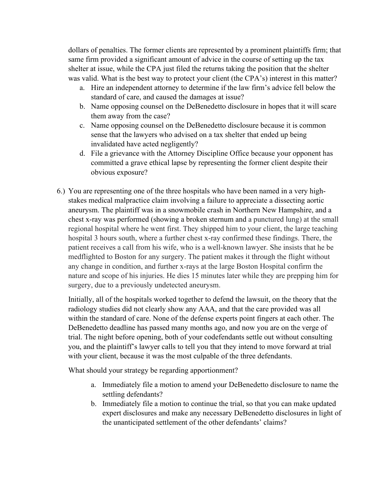dollars of penalties. The former clients are represented by a prominent plaintiffs firm; that same firm provided a significant amount of advice in the course of setting up the tax shelter at issue, while the CPA just filed the returns taking the position that the shelter was valid. What is the best way to protect your client (the CPA's) interest in this matter?

- a. Hire an independent attorney to determine if the law firm's advice fell below the standard of care, and caused the damages at issue?
- b. Name opposing counsel on the DeBenedetto disclosure in hopes that it will scare them away from the case?
- c. Name opposing counsel on the DeBenedetto disclosure because it is common sense that the lawyers who advised on a tax shelter that ended up being invalidated have acted negligently?
- d. File a grievance with the Attorney Discipline Office because your opponent has committed a grave ethical lapse by representing the former client despite their obvious exposure?
- 6.) You are representing one of the three hospitals who have been named in a very highstakes medical malpractice claim involving a failure to appreciate a dissecting aortic aneurysm. The plaintiff was in a snowmobile crash in Northern New Hampshire, and a chest x-ray was performed (showing a broken sternum and a punctured lung) at the small regional hospital where he went first. They shipped him to your client, the large teaching hospital 3 hours south, where a further chest x-ray confirmed these findings. There, the patient receives a call from his wife, who is a well-known lawyer. She insists that he be medflighted to Boston for any surgery. The patient makes it through the flight without any change in condition, and further x-rays at the large Boston Hospital confirm the nature and scope of his injuries. He dies 15 minutes later while they are prepping him for surgery, due to a previously undetected aneurysm.

Initially, all of the hospitals worked together to defend the lawsuit, on the theory that the radiology studies did not clearly show any AAA, and that the care provided was all within the standard of care. None of the defense experts point fingers at each other. The DeBenedetto deadline has passed many months ago, and now you are on the verge of trial. The night before opening, both of your codefendants settle out without consulting you, and the plaintiff's lawyer calls to tell you that they intend to move forward at trial with your client, because it was the most culpable of the three defendants.

What should your strategy be regarding apportionment?

- a. Immediately file a motion to amend your DeBenedetto disclosure to name the settling defendants?
- b. Immediately file a motion to continue the trial, so that you can make updated expert disclosures and make any necessary DeBenedetto disclosures in light of the unanticipated settlement of the other defendants' claims?